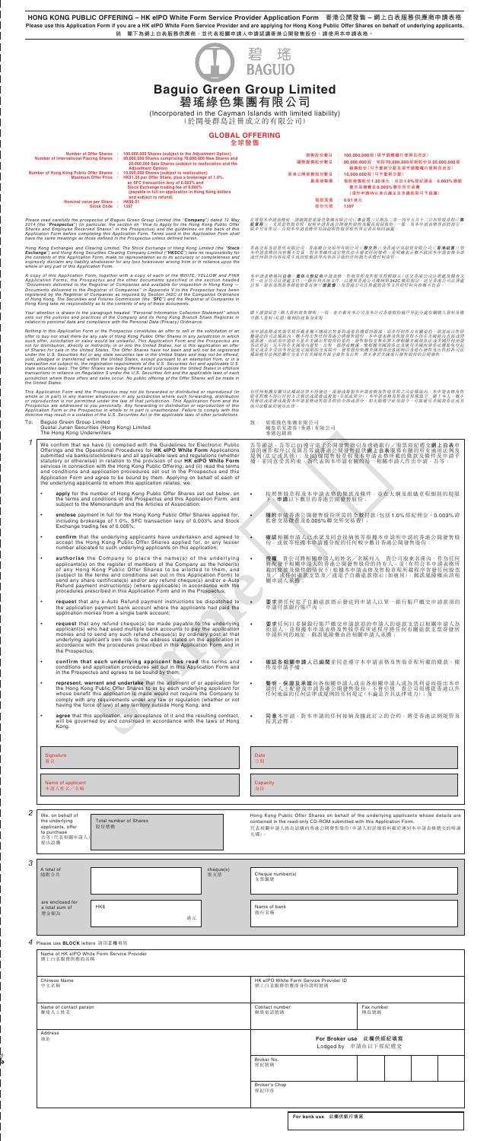**HONG KONG PUBLIC OFFERING – HK eIPO White Form Service Provider Application Form 香港公開發售 – 網上白表服務供應商申請表格 Please use this Application Form if you are a HK eIPO White Form Service Provider and are applying for Hong Kong Public Offer Shares on behalf of underlying applicants. 倘 閣下為網上白表服務供應商,並代表相關申請人申請認講香港公開發售股份,請使用本申請表格。**



(Incorporated in the Cayman Islands with limited liability)

(於開曼群島註冊成立的有限公司)

# **GLOBAL OFFERING**

**全球發售** Number of Offer Shares : 100,000,000 Shares (subject to the Adjustment Option)<br>Number of International Placing Shares : 90,000,000 Shares comprising 70,000,000 New Shares and<br>20,000,000 Sale Shares (subject to reallocation Adjustment Option)<br>
Mumber of Hong Kong Public Offer Shares : 10,000,000 Shares (subject to reallocation)<br>
Maximum Offer Price : HK\$1.20 per Offer Share, plus a brokerage of 1.0%,<br>
an SFC transaction levy of 0.003% and<br>
St **Nominal value per Share : HK\$0.01 Stock Code : 1397 發售股份數目 : 100,000,000 股(視乎調整權行使與否而定) 國際配售股份數目 : 90,000,000 股,包括 70,000,000 股新股份及 20,000,000 股 銷售股份(可予重新分配及視乎調整權行使與否而定) 香港公開發售股份數目 : 10,000,000 股(可予重新分配) 最高發售價 : 每股發售股份 1.20 港元,另加 1.0% 經紀佣金、0.003% 證監 會交易徵費及 0.005% 聯交所交易費 (須於申請時以港元繳足及多繳股款可予退還) 每股面值 : 0.01 港元 股份代號 : 1397** Please read carefully the prospectus of Baguio Green Group Limited (the "**Company**") dated 12 May<br>2014 (the "**Prospectus**") (in particular, the section on "How to Apply for the Hong Kong Public Offer<br>Shares and Employee Re Hong Kong Exchanges and Clearing Limited, The Stock Exchange of Hong Kong Limited (the "Stock<br>Exchange") and Hong Kong Securities Clearing Company Limited ("HKSCC") take no responsibility for<br>the contents of this Applicati A copy of this Application Form, together with a copy of each of the WHITE, YELLOW and PINK<br>Application Forms, the Prospectus and the other documents specified in the section headed<br>"Documents delivered to the Registrar of Your attention is drawn to the paragraph headed "Personal Information Collection Statement" which<br>sets out the policies and practices of the Company and its Hong Kong Branch Share Registrar in<br>relation to personal data and Nothing in this Application Form or the Prospectus constitutes an offer to sell or the solicitation of an<br>offer to buy nor shall there be any sale of Hong Kong Public Offer Shares in any jurisdiction in which<br>such offer, s This Application Form and the Prospectus may not be forwarded or distributed or reproduced (in<br>whole or in part) in any manner whatsoever in any jurisdiction where such forwarding, distribution<br>or reproduction is not permi 在填寫本申請表格前,請細聞碧瑤綠色集團有限公司(「**本公司**」)日期為二零一四年五月十二日的售股章程(「**售**<br>嚴拿程」), 尤其是售股章程 [如何申請春港公開發售股份及僱員預留股份」一節, 及本申請表格背面的指引。<br>除非另有界定, 否則本申請表格所用詞語與售股章程所界定者具相同涵義。 香港交易及結算所有限公司, 香港聯合交易所有限公司(「**聯交所**」) 表港中央結算有限公司(「**香港結算**」)對<br>本申請表格的內容概不負責,對其準確性或完整性亦不發表任何聲明, 並明確表示概不就因本申請表格全部<br>或任何部分內容而產生或因依賴該等內容而引致的任何損失承擔任何責任。 本申請表格通同**白色、黃色及粉紅色**申請表格、售股章程及售股章程附錄五「送呈香港公司註冊處及備查文<br>件一送呈公司註冊處文件」一節所列其他文件,已遵照香港公司絵例第 342C條的倪短: 送呈香港公司註冊處<br>註冊。證券及期貨事務監察委員會(「證**監會**」)及香港公司註冊處對該等文件的任何內容概不負責。 閣下謹請留意「個人資料收集聲明」一段,當中載有本公司及本公司香港股份過戶登記分處有關個人資料及遵<br>守個人資料(私隱)條例的政策及常規。 本申請表格或售股章程所載者概不構成出售要約或要約購買的游説,而在任何作出有關要約、游説或出售即所要提供的原理,既不得出售任何香港公開發售股份。本申請表格及售股章程不得在美國境内直接或問題方法的原因,被求取出售即可接受的要求。而此項申請亦不是在美國培育機會的研究的要約。發售股份並無充將不會根據美國證券法或美國任何州證<br>機能發行同法權區內、概不得出售任何香港公開發售股份。本申請表格及售股資率是可需存在或是國家差試要合同任何州證<br>規定或並 在任何根據有關司法權區法律不得發送、派發或複製本申請表格及售股章程之司法權區內,本申請表格及售<br>股章程概不得以任何方式發送或派發或複製(全部或部分)。本申請表格及售股章程僅致予 閣下本人。概不<br>得發送或派發或複製本申請表格或售股章程的全部或部分。如未能遵守此項指令,可能建反美國證券法或其<br>他司法權區的遵用法律。 *1* 致: 碧瑤綠色集團有限公司 國泰君安證券(香港)有限公司 香港包銷商 To: Baguio Green Group Limited Guotai Junan Securities (Hong Kong) Limited The Hong Kong Underwriters We confirm that we have (i) complied with the Guidelines for Electronic Public<br>Offerings and the Operational Procedures for **HK elPO White Form** Applications<br>submitted via banks/stockbrokers and all applic<mark>able laws and re</mark> statutory or otherwise) in relation to the provision of our **HK eIPO White Form**<br>services in connection with the Hong Kong Public Offering; and (ii) read the terms<br>and conditions and application procedures set out in the P Application Form and agree to be bound by them. Applying on behalf of each of the underlying applicants to whom this application relates, we: • **apply** for the number of Hong Kong Public Offer Shares set out below, on the terms and conditions of the Prospectus and this Application Form, and subject to the Memorandum and the Articles of Association; • **enclose** payment in full for the Hong Kong Public Offer Shares applied for, including brokerage of 1.0%, SFC transaction levy of 0.003% and Stock Exchange trading fee of 0.005%; confirm that the underlying applicants have undertaken and agreed to accept the Hong Kong Public Offer Shares applied for, or any lesser number allocated to such underlying applicants on this application; • **authorise** the Company to place the name(s) of the underlying applicants(s) on the register of members of the Company as the holder(s) of any Hong Kong Public Offer Shares to be allotted to them, and (subject to the ter Refund payment instruction(s) (where applicable) in accordance with the procedures prescribed in this Application Form and in the Prospectus; • **request** that any e-Auto Refund payment instructions be dispatched to the application payment bank account where the applicants had paid the application monies from a single bank account; • request that any refund cheque(s) be made payable to the underlying applicant(s) who had used multiple bank accounts to pay the application monies and to send any such refund cheque(s) by ordinary post at that underlying the Prospectus; • **confirm that each underlying applicant has read** the terms and conditions and application procedures set out in this Application Form and in the Prospectus and agrees to be bound by them; 吾等確認,吾等已 (i) 遵守電子公開發售指引及透過銀行/股票經紀遞交**網上白表**申<br>請的運作程序以及與吾等就香港公開發售提供**網上白表**服務有關的所有適用法例及 規例(法定或其他);及(ii) 細閲售股章程及本申請表格所載的條款及條件及申請手<br>續,並同意受其約束。為代表與本申請有關的每一相關申請人作出申請,吾等: • 按照售股章程及本申請表格的條款及條件,並在大綱及組織章程細則的規限 下,**申請**以下數目的香港公開發售股份; • **隨附**申請香港公開發售股份所需的全數付款(包括 1.0% 經紀佣金、0.003% 證 監會交易徵費及 0.005% 聯交所交易費); • **確認**相關申請人已承諾及同意接納彼等根據本申請所申請的香港公開發售股 份,或彼等根據本申請獲分配的任何較少數目香港公開發售股份; • 授權 貴公司將相關申請人的姓名/名稱列入 貴公司股東名冊內,作為任何<br>將配發予相關申請人的香港公開發售股份的持有人,並(在符合本申請表格所<br>載的條款及條件的情況下)根據本申請表格及售股章程所載程序寄發任何股票<br>及/或任何退款支票及/或電子自動退款指示(如適用),郵誤風險概由該相 • **要求**將任何電子自動退款指示發送到申請人以單一銀行賬戶繳交申請款項的 申請付款銀行賬戶內; • 要求任何以多個銀行賬戶繳交申請款項的申請人的退款支票以相關申請人為<br> 抬頭人,並根據本申請表格及售股章程所述程序將任何有關退款支票寄發到 申請所列的地址,郵誤風險概由該相關申請人承擔; • **確認各相關申請人已細閱**並同意遵守本申請表格及售股章程所載的條款、條 件及申請手續;

|                                                                                                                                                                                                                                                                                                                                                                                                                                                                                                                                              | We confirm that we have (i) complied with the Guidelines for Electronic Public<br>Offerings and the Operational Procedures for HK eIPO White Form Applications<br>submitted via banks/stockbrokers and all applicable laws and regulations (whether<br>statutory or otherwise) in relation to the provision of our HK elPO White Form<br>services in connection with the Hong Kong Public Offering; and (ii) read the terms<br>and conditions and application procedures set out in the Prospectus and this<br>Application Form and agree to be bound by them. Applying on behalf of each of<br>the underlying applicants to whom this application relates, we: |                  | 吾等確認,吾等已(i)遵守電子公開發售指引及透過銀行/股票經紀遞交 <mark>網上白表</mark> 申<br>請的運作程序以及與吾等就香港公開發售提供 <b>網上白表</b> 服務有關的所有適用法例及<br>規例(法定或其他);及(ii)細閲售股章程及本申請表格所載的條款及條件及申請手<br>續,並同意受其約束。為代表與本申請有關的每一相關申請人作出申請,吾等:                                 |  |  |
|----------------------------------------------------------------------------------------------------------------------------------------------------------------------------------------------------------------------------------------------------------------------------------------------------------------------------------------------------------------------------------------------------------------------------------------------------------------------------------------------------------------------------------------------|-----------------------------------------------------------------------------------------------------------------------------------------------------------------------------------------------------------------------------------------------------------------------------------------------------------------------------------------------------------------------------------------------------------------------------------------------------------------------------------------------------------------------------------------------------------------------------------------------------------------------------------------------------------------|------------------|--------------------------------------------------------------------------------------------------------------------------------------------------------------------------------------------------------------------------|--|--|
|                                                                                                                                                                                                                                                                                                                                                                                                                                                                                                                                              | apply for the number of Hong Kong Public Offer Shares set out below, on<br>the terms and conditions of the Prospectus and this Application Form, and<br>subject to the Memorandum and the Articles of Association;                                                                                                                                                                                                                                                                                                                                                                                                                                              |                  | 按照售股章程及本申請表格的條款及條件,並在大綱及組織章程細則的規限<br>下,申請以下數目的香港公開發售股份;                                                                                                                                                                  |  |  |
| enclose payment in full for the Hong Kong Public Offer Shares applied for,<br>including brokerage of 1.0%, SFC transaction levy of 0.003% and Stock<br>Exchange trading fee of 0.005%;                                                                                                                                                                                                                                                                                                                                                       |                                                                                                                                                                                                                                                                                                                                                                                                                                                                                                                                                                                                                                                                 |                  | 隨附申請香港公開發售股份所需的全數付款(包括1.0%經紀佣金、0.003%證<br>٠<br>監會交易徵費及0.005%聯交所交易費);                                                                                                                                                     |  |  |
| $\bullet$                                                                                                                                                                                                                                                                                                                                                                                                                                                                                                                                    | confirm that the underlying applicants have undertaken and agreed to<br>accept the Hong Kong Public Offer Shares applied for, or any lesser<br>number allocated to such underlying applicants on this application;                                                                                                                                                                                                                                                                                                                                                                                                                                              |                  | 確認相關申請人已承諾及同意接納彼等根據本申請所申請的香港公開發售股<br>份, 或彼等根據本申請獲分配的任何較少數目香港公開發售股份;                                                                                                                                                      |  |  |
| $\bullet$<br><b>authorise</b> the Company to place the name(s) of the underlying<br>applicants(s) on the register of members of the Company as the holder(s)<br>of any Hong Kong Public Offer Shares to be allotted to them, and<br>(subject to the terms and conditions set out in this Application Form) to<br>send any share certificate(s) and/or any refund cheque(s) and/or e-Auto<br>Refund payment instruction(s) (where applicable) in accordance with the<br>procedures prescribed in this Application Form and in the Prospectus; |                                                                                                                                                                                                                                                                                                                                                                                                                                                                                                                                                                                                                                                                 |                  | 貴公司將相關申請人的姓名/名稱列入 貴公司股東名冊內,作為任何<br>授權<br>將配發予相關申請人的香港公開發售股份的持有人,並(在符合本申請表格所<br>載的條款及條件的情況下)根據本申請表格及售股章程所載程序寄發任何股票<br>及/ 或任何退款支票及/或電子自動退款指示(如適用),郵誤風險概由該相<br>關申請人承擔;                                                      |  |  |
| $\bullet$<br>request that any e-Auto Refund payment instructions be dispatched to<br>the application payment bank account where the applicants had paid the<br>application monies from a single bank account;                                                                                                                                                                                                                                                                                                                                |                                                                                                                                                                                                                                                                                                                                                                                                                                                                                                                                                                                                                                                                 |                  | 要求將任何電子自動退款指示發送到申請人以單一銀行賬戶繳交申請款項的<br>$\bullet$<br>申請付款銀行賬戶內;                                                                                                                                                             |  |  |
| $\bullet$<br>request that any refund cheque(s) be made payable to the underlying<br>applicant(s) who had used multiple bank accounts to pay the application<br>monies and to send any such refund cheque(s) by ordinary post at that<br>underlying applicant's own risk to the address stated on the application in<br>accordance with the procedures prescribed in this Application Form and in<br>the Prospectus;                                                                                                                          |                                                                                                                                                                                                                                                                                                                                                                                                                                                                                                                                                                                                                                                                 |                  | 要求任何以多個銀行賬戶繳交申請款項的申請人的退款支票以相關申請人為<br>$\bullet$<br>抬頭人,並根據本申請表格及售股章程所述程序將任何有關退款支票寄發到<br>申請所列的地址,郵誤風險概由該相關申請人承擔;                                                                                                           |  |  |
| confirm that each underlying applicant has read the terms and<br>٠<br>conditions and application procedures set out in this Application Form and<br>in the Prospectus and agrees to be bound by them;                                                                                                                                                                                                                                                                                                                                        |                                                                                                                                                                                                                                                                                                                                                                                                                                                                                                                                                                                                                                                                 |                  | 確認各相關申請人已細閱並同意遵守本申請表格及售股章程所載的條款、條<br>件及申請手續;                                                                                                                                                                             |  |  |
| represent, warrant and undertake that the allotment of or application for<br>the Hong Kong Public Offer Shares to or by each underlying applicant for<br>whose benefit this application is made would not require the Company to<br>comply with any requirements under any law or regulation (whether or not<br>having the force of law) of any territory outside Hong Kong; and                                                                                                                                                             |                                                                                                                                                                                                                                                                                                                                                                                                                                                                                                                                                                                                                                                                 |                  | 聲明、保證及承諾向各相關申請人或由各相關申請人或為其利益而提出本申<br>請的人士配發或申請香港公開發售股份,不會引致 貴公司須遵從香港以外<br>任何地區的任何法律或規例的任何規定(不論是否具法律效力);及                                                                                                                 |  |  |
| Kong.                                                                                                                                                                                                                                                                                                                                                                                                                                                                                                                                        | agree that this application, any acceptance of it and the resulting contract,<br>will be governed by and construed in accordance with the laws of Hong                                                                                                                                                                                                                                                                                                                                                                                                                                                                                                          |                  | 同意本申請、對本申請的任何接納及據此訂立的合約,將受香港法例規管及<br>按其詮釋。                                                                                                                                                                               |  |  |
| Signature<br>簽名                                                                                                                                                                                                                                                                                                                                                                                                                                                                                                                              |                                                                                                                                                                                                                                                                                                                                                                                                                                                                                                                                                                                                                                                                 |                  | Date<br>日期                                                                                                                                                                                                               |  |  |
| Name of applicant<br>申請人姓名/名稱                                                                                                                                                                                                                                                                                                                                                                                                                                                                                                                |                                                                                                                                                                                                                                                                                                                                                                                                                                                                                                                                                                                                                                                                 |                  | Capacity<br>身份                                                                                                                                                                                                           |  |  |
| We, on behalf of<br>the underlying<br>applicants, offer<br>to purchase<br>吾等(代表相關申請人)<br>提出認購                                                                                                                                                                                                                                                                                                                                                                                                                                                | <b>Total number of Shares</b><br>股份總數                                                                                                                                                                                                                                                                                                                                                                                                                                                                                                                                                                                                                           |                  | Hong Kong Public Offer Shares on behalf of the underlying applicants whose details are<br>contained in the read-only CD-ROM submitted with this Application Form.<br>代表相關申請人提出認購的香港公開發售股份(申請人的詳細資料載於連同本申請表格遞交的唯讀<br>光碟)。 |  |  |
| A total of<br>隨附合共                                                                                                                                                                                                                                                                                                                                                                                                                                                                                                                           |                                                                                                                                                                                                                                                                                                                                                                                                                                                                                                                                                                                                                                                                 | cheque(s)<br>張支票 | Cheque number(s)                                                                                                                                                                                                         |  |  |
|                                                                                                                                                                                                                                                                                                                                                                                                                                                                                                                                              |                                                                                                                                                                                                                                                                                                                                                                                                                                                                                                                                                                                                                                                                 |                  | 支票編號                                                                                                                                                                                                                     |  |  |
| are enclosed for<br>a total sum of<br>總金額為                                                                                                                                                                                                                                                                                                                                                                                                                                                                                                   | HK\$<br>港元                                                                                                                                                                                                                                                                                                                                                                                                                                                                                                                                                                                                                                                      |                  | Name of bank<br>銀行名稱                                                                                                                                                                                                     |  |  |
| $4$ Please use BLOCK letters 請用正楷填寫                                                                                                                                                                                                                                                                                                                                                                                                                                                                                                          |                                                                                                                                                                                                                                                                                                                                                                                                                                                                                                                                                                                                                                                                 |                  |                                                                                                                                                                                                                          |  |  |
| 網上白表服務供應商名稱                                                                                                                                                                                                                                                                                                                                                                                                                                                                                                                                  | Name of HK eIPO White Form Service Provider                                                                                                                                                                                                                                                                                                                                                                                                                                                                                                                                                                                                                     |                  |                                                                                                                                                                                                                          |  |  |
| <b>Chinese Name</b><br>中文名稱                                                                                                                                                                                                                                                                                                                                                                                                                                                                                                                  |                                                                                                                                                                                                                                                                                                                                                                                                                                                                                                                                                                                                                                                                 |                  | HK eIPO White Form Service Provider ID<br>網上白表服務供應商身份證明號碼                                                                                                                                                                |  |  |
| Name of contact person<br>聯絡人士姓名                                                                                                                                                                                                                                                                                                                                                                                                                                                                                                             |                                                                                                                                                                                                                                                                                                                                                                                                                                                                                                                                                                                                                                                                 |                  | Contact number<br>Fax number<br>聯絡電話號碼<br>傳真號碼                                                                                                                                                                           |  |  |
| Address<br>地址                                                                                                                                                                                                                                                                                                                                                                                                                                                                                                                                |                                                                                                                                                                                                                                                                                                                                                                                                                                                                                                                                                                                                                                                                 |                  | For Broker use 此欄供經紀填寫<br>Lodged by 申請由以下經紀遞交                                                                                                                                                                            |  |  |
|                                                                                                                                                                                                                                                                                                                                                                                                                                                                                                                                              |                                                                                                                                                                                                                                                                                                                                                                                                                                                                                                                                                                                                                                                                 |                  | Broker No.<br>經紀號碼                                                                                                                                                                                                       |  |  |
|                                                                                                                                                                                                                                                                                                                                                                                                                                                                                                                                              |                                                                                                                                                                                                                                                                                                                                                                                                                                                                                                                                                                                                                                                                 |                  | Broker's Chop<br>經紀印章                                                                                                                                                                                                    |  |  |

**For bank use 此欄供銀行填寫**